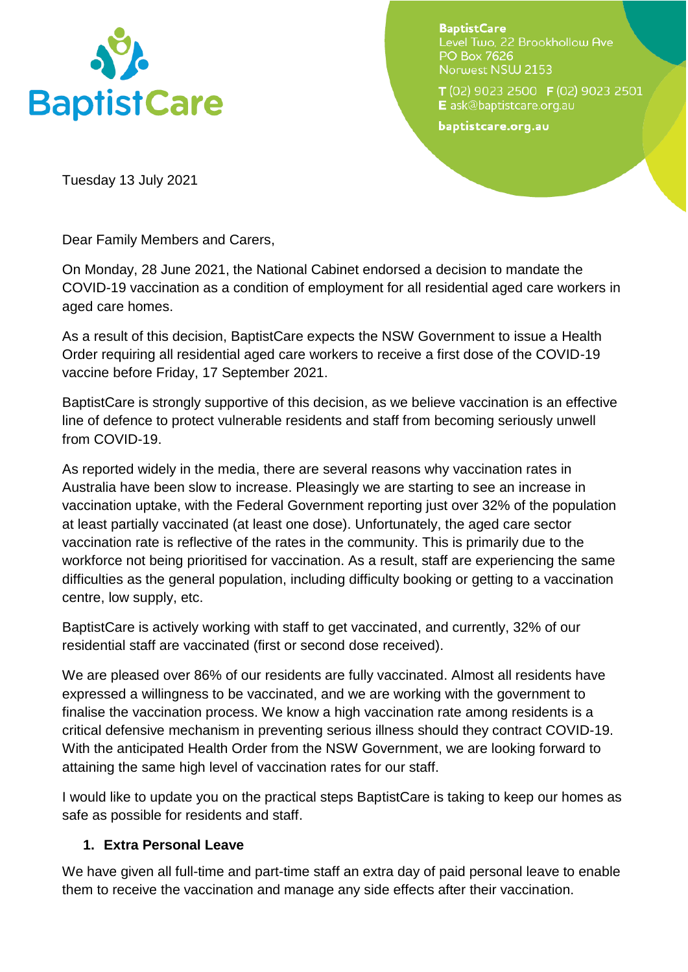

**BaptistCare** Level Two, 22 Brookhollow Ave **PO Box 7626** Norwest NSW 2153

T (02) 9023 2500 F (02) 9023 2501 E ask@baptistcare.org.au

baptistcare.org.au

Tuesday 13 July 2021

Dear Family Members and Carers,

On Monday, 28 June 2021, the National Cabinet endorsed a decision to mandate the COVID-19 vaccination as a condition of employment for all residential aged care workers in aged care homes.

As a result of this decision, BaptistCare expects the NSW Government to issue a Health Order requiring all residential aged care workers to receive a first dose of the COVID-19 vaccine before Friday, 17 September 2021.

BaptistCare is strongly supportive of this decision, as we believe vaccination is an effective line of defence to protect vulnerable residents and staff from becoming seriously unwell from COVID-19.

As reported widely in the media, there are several reasons why vaccination rates in Australia have been slow to increase. Pleasingly we are starting to see an increase in vaccination uptake, with the Federal Government reporting just over 32% of the population at least partially vaccinated (at least one dose). Unfortunately, the aged care sector vaccination rate is reflective of the rates in the community. This is primarily due to the workforce not being prioritised for vaccination. As a result, staff are experiencing the same difficulties as the general population, including difficulty booking or getting to a vaccination centre, low supply, etc.

BaptistCare is actively working with staff to get vaccinated, and currently, 32% of our residential staff are vaccinated (first or second dose received).

We are pleased over 86% of our residents are fully vaccinated. Almost all residents have expressed a willingness to be vaccinated, and we are working with the government to finalise the vaccination process. We know a high vaccination rate among residents is a critical defensive mechanism in preventing serious illness should they contract COVID-19. With the anticipated Health Order from the NSW Government, we are looking forward to attaining the same high level of vaccination rates for our staff.

I would like to update you on the practical steps BaptistCare is taking to keep our homes as safe as possible for residents and staff.

## **1. Extra Personal Leave**

We have given all full-time and part-time staff an extra day of paid personal leave to enable them to receive the vaccination and manage any side effects after their vaccination.